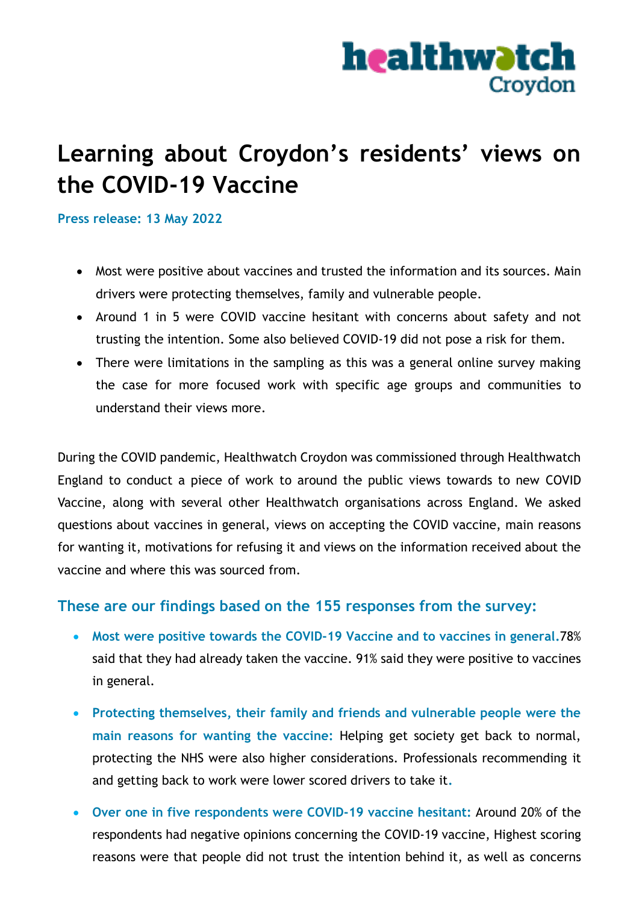

### **Learning about Croydon's residents' views on the COVID-19 Vaccine**

**Press release: 13 May 2022**

- Most were positive about vaccines and trusted the information and its sources. Main drivers were protecting themselves, family and vulnerable people.
- Around 1 in 5 were COVID vaccine hesitant with concerns about safety and not trusting the intention. Some also believed COVID-19 did not pose a risk for them.
- There were limitations in the sampling as this was a general online survey making the case for more focused work with specific age groups and communities to understand their views more.

During the COVID pandemic, Healthwatch Croydon was commissioned through Healthwatch England to conduct a piece of work to around the public views towards to new COVID Vaccine, along with several other Healthwatch organisations across England. We asked questions about vaccines in general, views on accepting the COVID vaccine, main reasons for wanting it, motivations for refusing it and views on the information received about the vaccine and where this was sourced from.

### **These are our findings based on the 155 responses from the survey:**

- **Most were positive towards the COVID-19 Vaccine and to vaccines in general.**78% said that they had already taken the vaccine. 91% said they were positive to vaccines in general.
- **Protecting themselves, their family and friends and vulnerable people were the main reasons for wanting the vaccine:** Helping get society get back to normal, protecting the NHS were also higher considerations. Professionals recommending it and getting back to work were lower scored drivers to take it**.**
- **Over one in five respondents were COVID-19 vaccine hesitant:** Around 20% of the respondents had negative opinions concerning the COVID-19 vaccine, Highest scoring reasons were that people did not trust the intention behind it, as well as concerns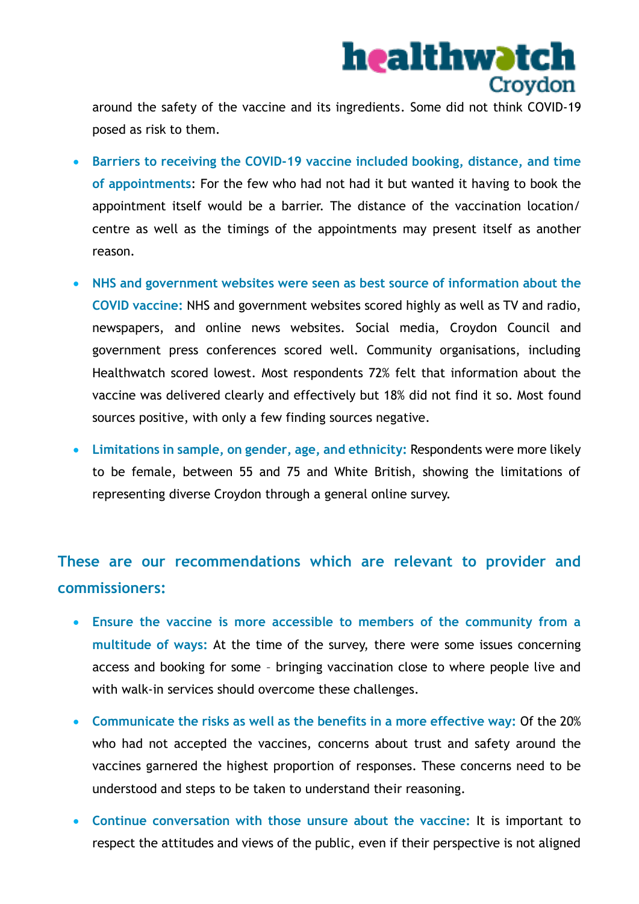

around the safety of the vaccine and its ingredients. Some did not think COVID-19 posed as risk to them.

- **Barriers to receiving the COVID-19 vaccine included booking, distance, and time of appointments**: For the few who had not had it but wanted it having to book the appointment itself would be a barrier. The distance of the vaccination location/ centre as well as the timings of the appointments may present itself as another reason.
- **NHS and government websites were seen as best source of information about the COVID vaccine:** NHS and government websites scored highly as well as TV and radio, newspapers, and online news websites. Social media, Croydon Council and government press conferences scored well. Community organisations, including Healthwatch scored lowest. Most respondents 72% felt that information about the vaccine was delivered clearly and effectively but 18% did not find it so. Most found sources positive, with only a few finding sources negative.
- **Limitations in sample, on gender, age, and ethnicity:** Respondents were more likely to be female, between 55 and 75 and White British, showing the limitations of representing diverse Croydon through a general online survey.

**These are our recommendations which are relevant to provider and commissioners:** 

- **Ensure the vaccine is more accessible to members of the community from a multitude of ways:** At the time of the survey, there were some issues concerning access and booking for some – bringing vaccination close to where people live and with walk-in services should overcome these challenges.
- **Communicate the risks as well as the benefits in a more effective way:** Of the 20% who had not accepted the vaccines, concerns about trust and safety around the vaccines garnered the highest proportion of responses. These concerns need to be understood and steps to be taken to understand their reasoning.
- **Continue conversation with those unsure about the vaccine:** It is important to respect the attitudes and views of the public, even if their perspective is not aligned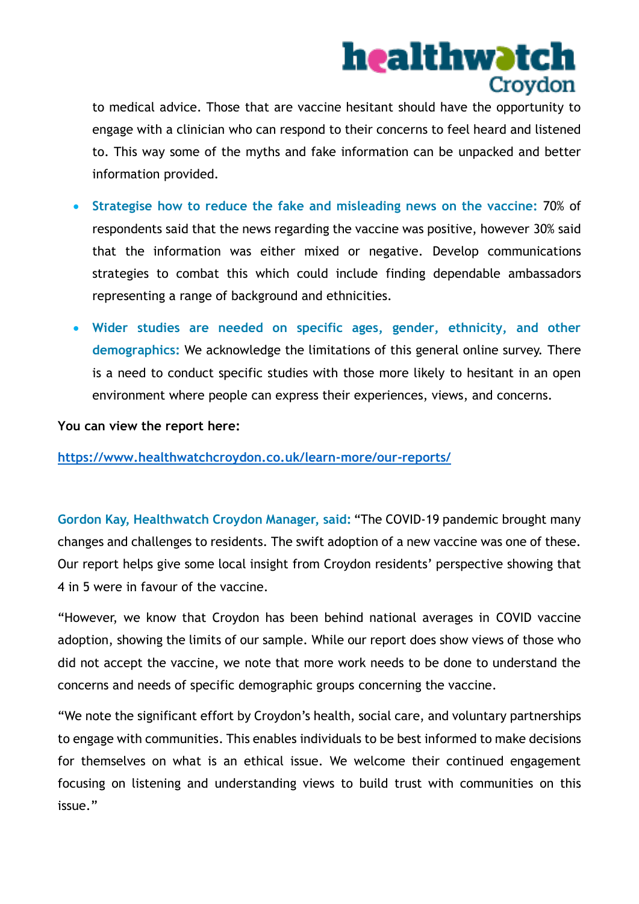## healthwatch Croydon

to medical advice. Those that are vaccine hesitant should have the opportunity to engage with a clinician who can respond to their concerns to feel heard and listened to. This way some of the myths and fake information can be unpacked and better information provided.

- **Strategise how to reduce the fake and misleading news on the vaccine:** 70% of respondents said that the news regarding the vaccine was positive, however 30% said that the information was either mixed or negative. Develop communications strategies to combat this which could include finding dependable ambassadors representing a range of background and ethnicities.
- **Wider studies are needed on specific ages, gender, ethnicity, and other demographics:** We acknowledge the limitations of this general online survey. There is a need to conduct specific studies with those more likely to hesitant in an open environment where people can express their experiences, views, and concerns.

#### **You can view the report here:**

**<https://www.healthwatchcroydon.co.uk/learn-more/our-reports/>**

**Gordon Kay, Healthwatch Croydon Manager, said:** "The COVID-19 pandemic brought many changes and challenges to residents. The swift adoption of a new vaccine was one of these. Our report helps give some local insight from Croydon residents' perspective showing that 4 in 5 were in favour of the vaccine.

"However, we know that Croydon has been behind national averages in COVID vaccine adoption, showing the limits of our sample. While our report does show views of those who did not accept the vaccine, we note that more work needs to be done to understand the concerns and needs of specific demographic groups concerning the vaccine.

"We note the significant effort by Croydon's health, social care, and voluntary partnerships to engage with communities. This enables individuals to be best informed to make decisions for themselves on what is an ethical issue. We welcome their continued engagement focusing on listening and understanding views to build trust with communities on this issue."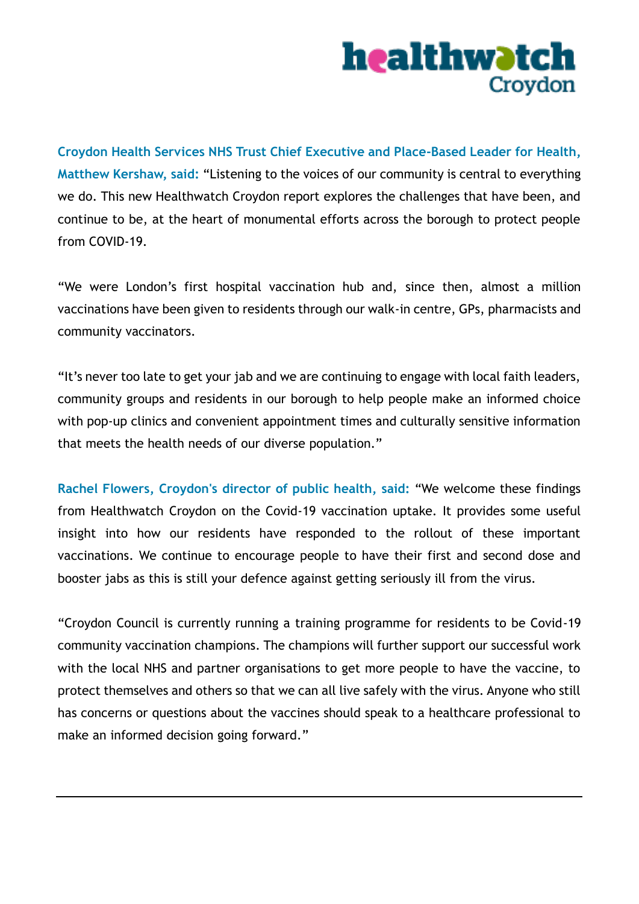# healthwatch Croydon

**Croydon Health Services NHS Trust Chief Executive and Place-Based Leader for Health, Matthew Kershaw, said:** "Listening to the voices of our community is central to everything we do. This new Healthwatch Croydon report explores the challenges that have been, and continue to be, at the heart of monumental efforts across the borough to protect people from COVID-19.

"We were London's first hospital vaccination hub and, since then, almost a million vaccinations have been given to residents through our walk-in centre, GPs, pharmacists and community vaccinators.

"It's never too late to get your jab and we are continuing to engage with local faith leaders, community groups and residents in our borough to help people make an informed choice with pop-up clinics and convenient appointment times and culturally sensitive information that meets the health needs of our diverse population."

**Rachel Flowers, Croydon's director of public health, said:** "We welcome these findings from Healthwatch Croydon on the Covid-19 vaccination uptake. It provides some useful insight into how our residents have responded to the rollout of these important vaccinations. We continue to encourage people to have their first and second dose and booster jabs as this is still your defence against getting seriously ill from the virus.

"Croydon Council is currently running a training programme for residents to be Covid-19 community vaccination champions. The champions will further support our successful work with the local NHS and partner organisations to get more people to have the vaccine, to protect themselves and others so that we can all live safely with the virus. Anyone who still has concerns or questions about the vaccines should speak to a healthcare professional to make an informed decision going forward."